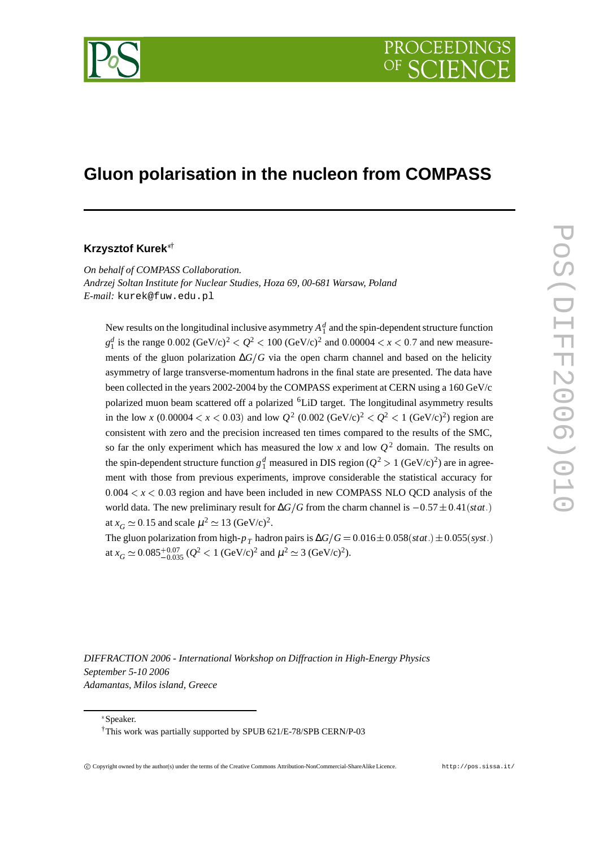

# **Gluon polarisation in the nucleon from COMPASS**

### **Krzysztof Kurek**†

*On behalf of COMPASS Collaboration. Andrzej Soltan Institute for Nuclear Studies, Hoza 69, 00-681 Warsaw, Poland E-mail:* kurek@fuw.edu.pl

New results on the longitudinal inclusive asymmetry  $A_1^d$  and the spin-dependent structure function  $g_1^d$  is the range 0.002 (GeV/c)<sup>2</sup>  $Q^2 < 100$  (GeV/c)<sup>2</sup> and 0.00004  $< x < 0.7$  and new measurements of the gluon polarization ∆*G*-*G* via the open charm channel and based on the helicity asymmetry of large transverse-momentum hadrons in the final state are presented. The data have been collected in the years 2002-2004 by the COMPASS experiment at CERN using a 160 GeV/c polarized muon beam scattered off a polarized 6LiD target. The longitudinal asymmetry results in the low *x* (0.00004  $\lt x \lt 0.03$ ) and low  $Q^2$  (0.002 (GeV/c)<sup>2</sup>  $\lt Q^2 \lt 1$  (GeV/c)<sup>2</sup>) region are consistent with zero and the precision increased ten times compared to the results of the SMC, so far the only experiment which has measured the low x and low  $Q^2$  domain. The results on the spin-dependent structure function  $g_1^d$  measured in DIS region ( $Q^2 > 1$  (GeV/c)<sup>2</sup>) are in agreement with those from previous experiments, improve considerable the statistical accuracy for  $0.004 < x < 0.03$  region and have been included in new COMPASS NLO QCD analysis of the world data. The new preliminary result for  $\Delta G/G$  from the charm channel is  $-0.57 \pm 0.41(stat.)$ at  $x_G \simeq 0.15$  and scale  $\mu^2 \simeq 13 \text{ (GeV/c)}^2$ .

The gluon polarization from high- $p_T^{}$  hadron pairs is  $\Delta G/G = 0.016\pm0.058(stat.)\pm0.055(syst.)$ at  $x_G \approx 0.085^{+0.07}_{-0.035} (Q^2 < 1 \text{ (GeV/c)}^2 \text{ and } \mu^2 \approx 3 \text{ (GeV/c)}^2).$ 

*DIFFRACTION 2006 - International Workshop on Diffraction in High-Energy Physics September 5-10 2006 Adamantas, Milos island, Greece*

Speaker.

<sup>†</sup>This work was partially supported by SPUB 621/E-78/SPB CERN/P-03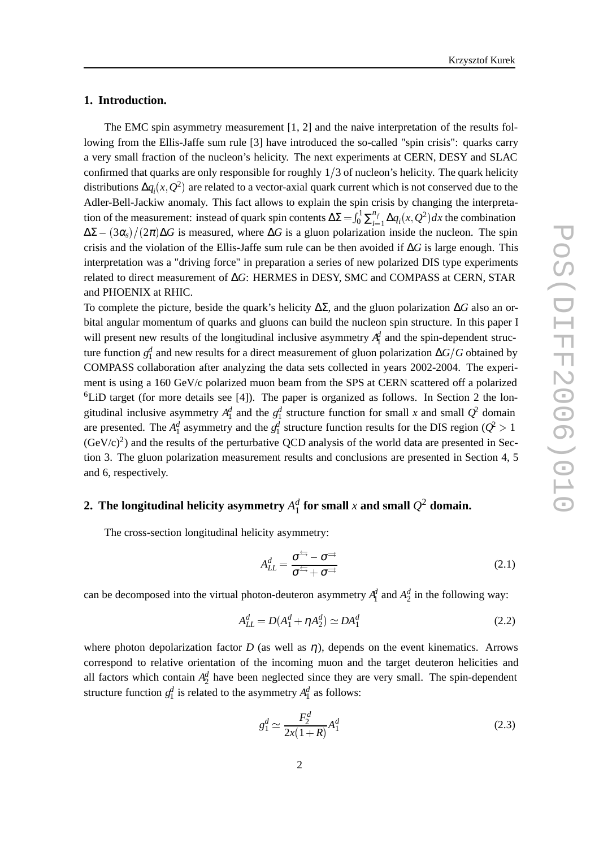#### **1. Introduction.**

The EMC spin asymmetry measurement [1, 2] and the naive interpretation of the results following from the Ellis-Jaffe sum rule [3] have introduced the so-called "spin crisis": quarks carry a very small fraction of the nucleon's helicity. The next experiments at CERN, DESY and SLAC confirmed that quarks are only responsible for roughly  $1/3$  of nucleon's helicity. The quark helicity distributions  $\Delta q_i(x, Q^2)$  are related to a vector-axial quark current which is not conserved due to the Adler-Bell-Jackiw anomaly. This fact allows to explain the spin crisis by changing the interpretation of the measurement: instead of quark spin contents  $\Delta \Sigma = \int_0^1 \sum_{i=1}^{n_f} \Delta q_i(x)$  $\int_0^1 \sum_{i=1}^{n_f} \Delta q_i(x, Q^2) dx$  the combination  $\Delta \Sigma - (3\alpha_s)/(2\pi) \Delta G$  is measured, where  $\Delta G$  is a gluon polarization inside the nucleon. The spin crisis and the violation of the Ellis-Jaffe sum rule can be then avoided if ∆*G* is large enough. This interpretation was a "driving force" in preparation a series of new polarized DIS type experiments related to direct measurement of ∆*G*: HERMES in DESY, SMC and COMPASS at CERN, STAR and PHOENIX at RHIC.

To complete the picture, beside the quark's helicity ∆Σ, and the gluon polarization ∆*G* also an orbital angular momentum of quarks and gluons can build the nucleon spin structure. In this paper I will present new results of the longitudinal inclusive asymmetry  $A_1^d$  and the spin-dependent structure function *gd* <sup>1</sup> and new results for a direct measurement of gluon polarization ∆*GG* obtained by COMPASS collaboration after analyzing the data sets collected in years 2002-2004. The experiment is using a 160 GeV/c polarized muon beam from the SPS at CERN scattered off a polarized  ${}^{6}$ LiD target (for more details see [4]). The paper is organized as follows. In Section 2 the longitudinal inclusive asymmetry  $A_1^d$  and the  $g_1^d$  structure function for small *x* and small  $Q^2$  domain are presented. The  $A_1^d$  asymmetry and the  $g_1^d$  structure function results for the DIS region ( $Q^2$  >  $(GeV/c)^2$ ) and the results of the perturbative QCD analysis of the world data are presented in Section 3. The gluon polarization measurement results and conclusions are presented in Section 4, 5 and 6, respectively.

# **2.** The longitudinal helicity asymmetry  $A_1^d$  for small  $x$  and small  $Q^2$  domain.

The cross-section longitudinal helicity asymmetry:

$$
A_{LL}^d = \frac{\sigma^{\frac{+}{-}} - \sigma^{\frac{-}}}{\sigma^{\frac{+}{-}} + \sigma^{\frac{-}{-}}}
$$
 (2.1)

can be decomposed into the virtual photon-deuteron asymmetry  $A_1^d$  and  $A_2^d$  in the following way:

$$
A_{LL}^d = D(A_1^d + \eta A_2^d) \simeq DA_1^d \tag{2.2}
$$

where photon depolarization factor *D* (as well as  $\eta$ ), depends on the event kinematics. Arrows correspond to relative orientation of the incoming muon and the target deuteron helicities and all factors which contain  $A_2^d$  have been neglected since they are very small. The spin-dependent structure function  $g_1^d$  is related to the asymmetry  $A_1^d$  as follows:

$$
g_1^d \simeq \frac{F_2^d}{2x(1+R)} A_1^d \tag{2.3}
$$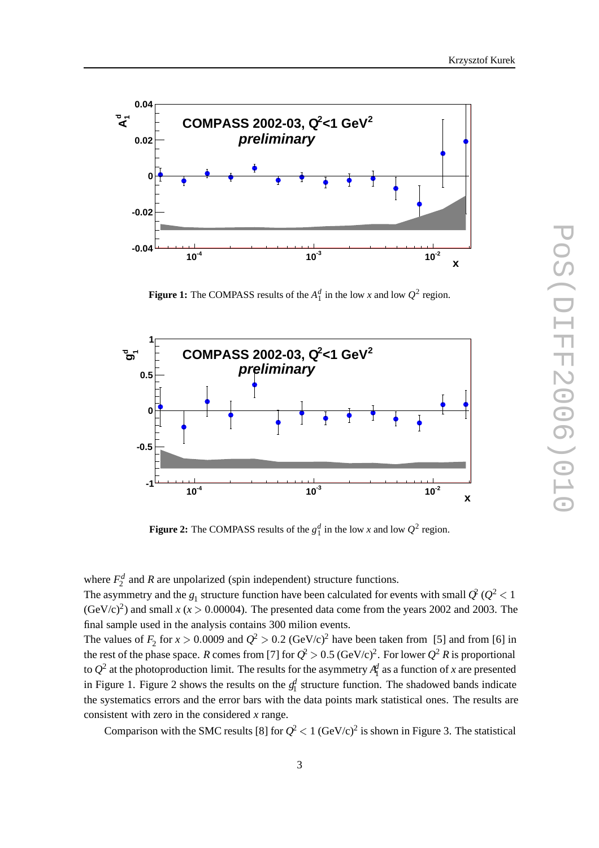

**Figure 1:** The COMPASS results of the  $A_1^d$  in the low *x* and low  $Q^2$  region.



**Figure 2:** The COMPASS results of the  $g_1^d$  in the low *x* and low  $Q^2$  region.

where  $F_2^d$  and *R* are unpolarized (spin independent) structure functions.

The asymmetry and the  $g_1$  structure function have been calculated for events with small  $\mathcal{Q}^2$  ( $\mathcal{Q}^2$  < 1  $(GeV/c)^2$ ) and small *x* (*x* > 0.00004). The presented data come from the years 2002 and 2003. The final sample used in the analysis contains 300 milion events.

The values of  $F_2$  for  $x > 0.0009$  and  $Q^2 > 0.2$  (GeV/c)<sup>2</sup> have been taken from [5] and from [6] in the rest of the phase space. *R* comes from [7] for  $Q^2 > 0.5$  (GeV/c)<sup>2</sup>. For lower  $Q^2 R$  is proportional to  $Q^2$  at the photoproduction limit. The results for the asymmetry  $A^d_1$  as a function of *x* are presented in Figure 1. Figure 2 shows the results on the  $g_1^d$  structure function. The shadowed bands indicate the systematics errors and the error bars with the data points mark statistical ones. The results are consistent with zero in the considered *x* range.

Comparison with the SMC results [8] for  $Q^2 < 1$  (GeV/c)<sup>2</sup> is shown in Figure 3. The statistical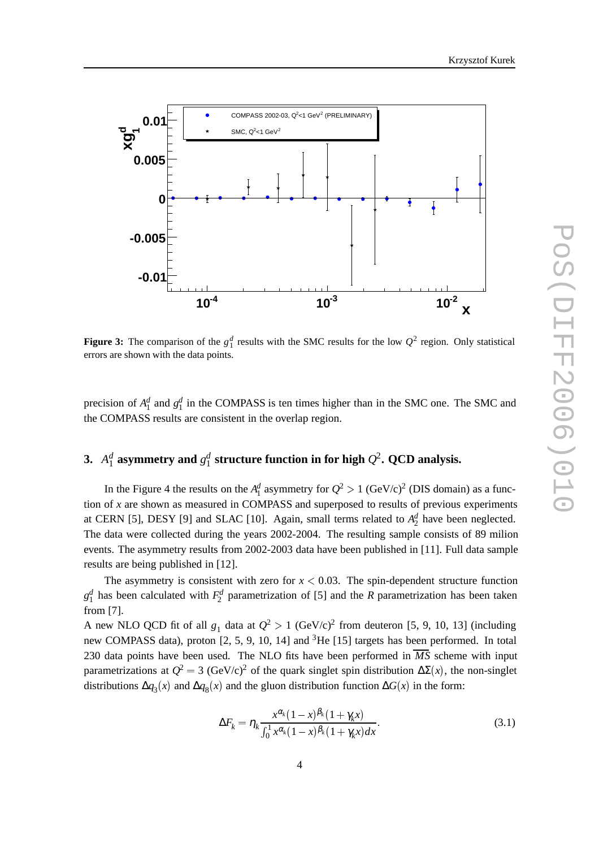



**Figure 3:** The comparison of the  $g_1^d$  results with the SMC results for the low  $Q^2$  region. Only statistical errors are shown with the data points.

precision of  $A_1^d$  and  $g_1^d$  in the COMPASS is ten times higher than in the SMC one. The SMC and the COMPASS results are consistent in the overlap region.

# **3.**  $A_1^d$  asymmetry and  $g_1^d$  structure function in for high  $Q^2$ . QCD analysis.

In the Figure 4 the results on the  $A_1^d$  asymmetry for  $Q^2 > 1$  (GeV/c)<sup>2</sup> (DIS domain) as a function of *x* are shown as measured in COMPASS and superposed to results of previous experiments at CERN [5], DESY [9] and SLAC [10]. Again, small terms related to  $A_2^d$  have been neglected. The data were collected during the years 2002-2004. The resulting sample consists of 89 milion events. The asymmetry results from 2002-2003 data have been published in [11]. Full data sample results are being published in [12].

The asymmetry is consistent with zero for  $x < 0.03$ . The spin-dependent structure function  $g_1^d$  has been calculated with  $F_2^d$  parametrization of [5] and the *R* parametrization has been taken from [7].

A new NLO QCD fit of all  $g_1$  data at  $Q^2 > 1$  (GeV/c)<sup>2</sup> from deuteron [5, 9, 10, 13] (including new COMPASS data), proton [2, 5, 9, 10, 14] and <sup>3</sup>He [15] targets has been performed. In total 230 data points have been used. The NLO fits have been performed in  $\overline{MS}$  scheme with input parametrizations at  $Q^2 = 3$  (GeV/c)<sup>2</sup> of the quark singlet spin distribution  $\Delta \Sigma(x)$ , the non-singlet distributions  $\Delta q_3(x)$  and  $\Delta q_8(x)$  and the gluon distribution function  $\Delta G(x)$  in the form:

$$
\Delta F_k = \eta_k \frac{x^{\alpha_k} (1 - x)^{\beta_k} (1 + \gamma_k x)}{\int_0^1 x^{\alpha_k} (1 - x)^{\beta_k} (1 + \gamma_k x) dx}.
$$
\n(3.1)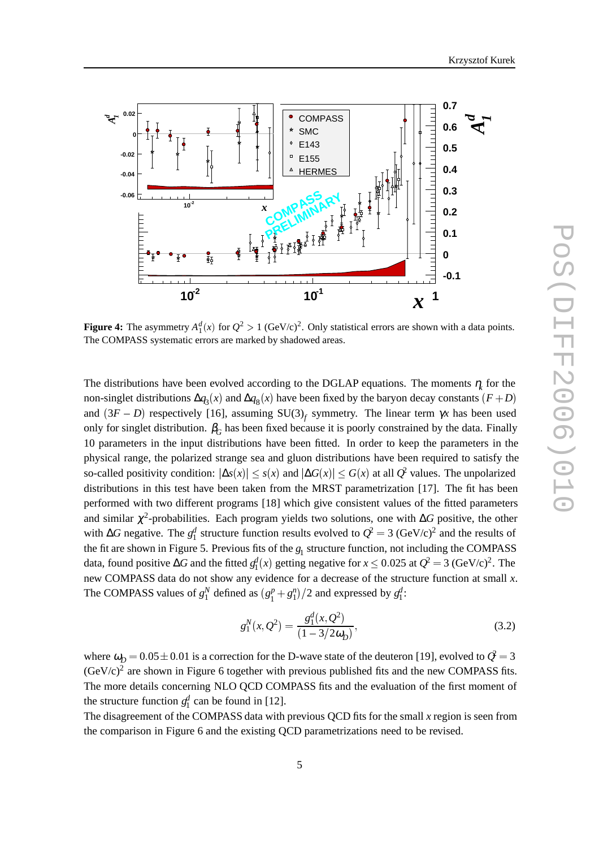



**Figure 4:** The asymmetry  $A_1^d(x)$  for  $Q^2 > 1$  (GeV/c)<sup>2</sup>. Only statistical errors are shown with a data points. The COMPASS systematic errors are marked by shadowed areas.

The distributions have been evolved according to the DGLAP equations. The moments  $\eta$  for the For  $\frac{1}{3}$   $\frac{1}{3}$   $\frac{1}{3}$   $\frac{1}{3}$   $\frac{1}{3}$   $\frac{1}{3}$   $\frac{1}{3}$   $\frac{1}{3}$   $\frac{1}{3}$   $\frac{1}{3}$   $\frac{1}{3}$   $\frac{1}{3}$   $\frac{1}{3}$   $\frac{1}{3}$   $\frac{1}{3}$   $\frac{1}{3}$   $\frac{1}{3}$   $\frac{1}{3}$   $\frac{1}{3}$   $\frac{1}{3}$   $\frac{1}{3}$   $\frac{1$ and  $(3F - D)$  respectively [16], assuming SU(3)<sub>f</sub> symmetry. The linear term  $\gamma x$  has been used only for singlet distribution.  $\beta_G$  has been fixed because it is poorly constrained by the data. Finally 10 parameters in the input distributions have been fitted. In order to keep the parameters in the physical range, the polarized strange sea and gluon distributions have been required to satisfy the so-called positivity condition:  $|\Delta s(x)| \leq s(x)$  and  $|\Delta G(x)| \leq G(x)$  at all  $Q^2$  values. The unpolarized distributions in this test have been taken from the MRST parametrization [17]. The fit has been performed with two different programs [18] which give consistent values of the fitted parameters and similar  $\chi^2$ -probabilities. Each program yields two solutions, one with ∆*G* positive, the other with ∆*G* negative. The  $g_1^d$  structure function results evolved to  $Q^2 = 3$  (GeV/c)<sup>2</sup> and the results of the fit are shown in Figure 5. Previous fits of the  $g_1$  structure function, not including the COMPASS data, found positive  $\Delta G$  and the fitted  $g_1^d(x)$  getting negative for  $x \le 0.025$  at  $Q^2 = 3$  (GeV/c)<sup>2</sup>. The new COMPASS data do not show any evidence for a decrease of the structure function at small *x*. The COMPASS values of  $g_1^N$  defined as  $(g_1^p + g_1^n)/2$  and expressed by  $g_1^d$ :

$$
g_1^N(x, Q^2) = \frac{g_1^d(x, Q^2)}{(1 - 3/2\omega_D)},
$$
\n(3.2)

where  $\omega_D = 0.05 \pm 0.01$  is a correction for the D-wave state of the deuteron [19], evolved to  $\hat{\mathcal{Q}} =$  3  $(GeV/c)^2$  are shown in Figure 6 together with previous published fits and the new COMPASS fits. The more details concerning NLO QCD COMPASS fits and the evaluation of the first moment of the structure function  $g_1^d$  can be found in [12].

The disagreement of the COMPASS data with previous QCD fits for the small *x* region is seen from the comparison in Figure 6 and the existing QCD parametrizations need to be revised.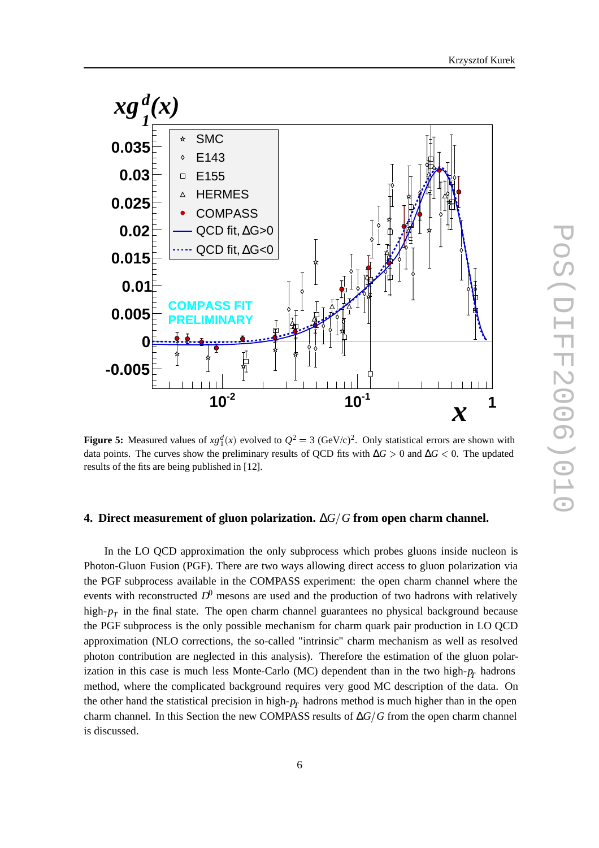



**Figure 5:** Measured values of  $xg_1^d(x)$  evolved to  $Q^2 = 3$  (GeV/c)<sup>2</sup>. Only statistical errors are shown with data points. The curves show the preliminary results of QCD fits with  $\Delta G > 0$  and  $\Delta G < 0$ . The updated results of the fits are being published in [12].

### **4. Direct measurement of gluon polarization.** ∆*GG* **from open charm channel.**

In the LO QCD approximation the only subprocess which probes gluons inside nucleon is Photon-Gluon Fusion (PGF). There are two ways allowing direct access to gluon polarization via the PGF subprocess available in the COMPASS experiment: the open charm channel where the events with reconstructed  $D^0$  mesons are used and the production of two hadrons with relatively high- $p_T$  in the final state. The open charm channel guarantees no physical background because the PGF subprocess is the only possible mechanism for charm quark pair production in LO QCD approximation (NLO corrections, the so-called "intrinsic" charm mechanism as well as resolved photon contribution are neglected in this analysis). Therefore the estimation of the gluon polarization in this case is much less Monte-Carlo (MC) dependent than in the two high- $p_T$  hadrons method, where the complicated background requires very good MC description of the data. On the other hand the statistical precision in high- $p_T$  hadrons method is much higher than in the open charm channel. In this Section the new COMPASS results of ∆*G*/*G* from the open charm channel is discussed.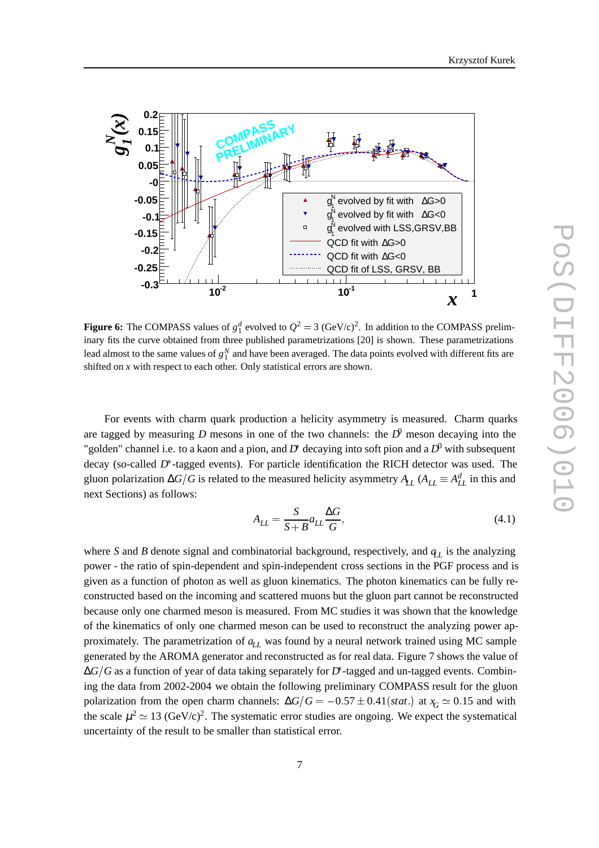



**Figure 6:** The COMPASS values of  $g_1^d$  evolved to  $Q^2 = 3$  (GeV/c)<sup>2</sup>. In addition to the COMPASS preliminary fits the curve obtained from three published parametrizations [20] is shown. These parametrizations lead almost to the same values of  $g_1^N$  and have been averaged. The data points evolved with different fits are shifted on *x* with respect to each other. Only statistical errors are shown.

For events with charm quark production a helicity asymmetry is measured. Charm quarks are tagged by measuring *D* mesons in one of the two channels: the  $D^0$  meson decaying into the "golden" channel i.e. to a kaon and a pion, and *D* decaying into soft pion and a *D*<sup>0</sup> with subsequent decay (so-called *D* -tagged events). For particle identification the RICH detector was used. The gluon polarization  $\Delta G/G$  is related to the measured helicity asymmetry  $A_{LL}$  ( $A_{LL} \equiv A_{LL}^d$  in this and next Sections) as follows:

$$
A_{LL} = \frac{S}{S + B} a_{LL} \frac{\Delta G}{G},\tag{4.1}
$$

where *S* and *B* denote signal and combinatorial background, respectively, and  $q_L$  is the analyzing power - the ratio of spin-dependent and spin-independent cross sections in the PGF process and is given as a function of photon as well as gluon kinematics. The photon kinematics can be fully reconstructed based on the incoming and scattered muons but the gluon part cannot be reconstructed because only one charmed meson is measured. From MC studies it was shown that the knowledge of the kinematics of only one charmed meson can be used to reconstruct the analyzing power approximately. The parametrization of  $q_L$  was found by a neural network trained using MC sample generated by the AROMA generator and reconstructed as for real data. Figure 7 shows the value of ∆*GG* as a function of year of data taking separately for *D* -tagged and un-tagged events. Combining the data from 2002-2004 we obtain the following preliminary COMPASS result for the gluon polarization from the open charm channels:  $\Delta G/G = -0.57 \pm 0.41(stat.)$  at  $x_G \simeq 0.15$  and with the scale  $\mu^2 \simeq 13$  (GeV/c)<sup>2</sup>. The systematic error studies are ongoing. We expect the systematical uncertainty of the result to be smaller than statistical error.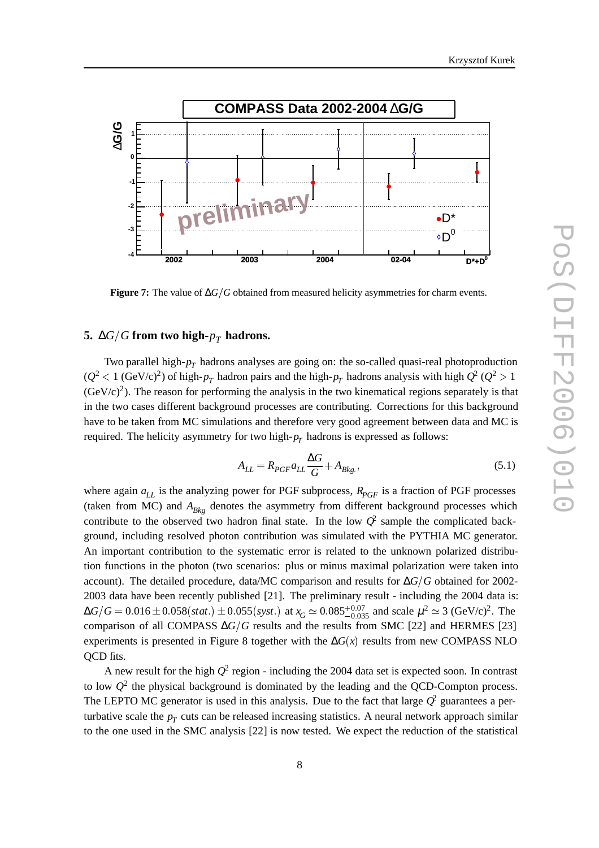



**Figure 7:** The value of ∆*G*-*G* obtained from measured helicity asymmetries for charm events.

## **5.** ∆*G*/*G* from two high- $p_T$  hadrons.

Two parallel high- $p_T$  hadrons analyses are going on: the so-called quasi-real photoproduction  $(Q^2 < 1 \text{ (GeV/c)}^2)$  of high- $p_T$  hadron pairs and the high- $p_T$  hadrons analysis with high  $Q^2$  ( $Q^2 > 1$ )  $(GeV/c)^2$ ). The reason for performing the analysis in the two kinematical regions separately is that in the two cases different background processes are contributing. Corrections for this background have to be taken from MC simulations and therefore very good agreement between data and MC is required. The helicity asymmetry for two high- $p_T$  hadrons is expressed as follows:

$$
A_{LL} = R_{PGF} a_{LL} \frac{\Delta G}{G} + A_{Bkg},\tag{5.1}
$$

where again  $a_{LL}$  is the analyzing power for PGF subprocess,  $R_{PGF}$  is a fraction of PGF processes (taken from MC) and  $A_{Bk\rho}$  denotes the asymmetry from different background processes which contribute to the observed two hadron final state. In the low  $\mathcal{Q}^2$  sample the complicated background, including resolved photon contribution was simulated with the PYTHIA MC generator. An important contribution to the systematic error is related to the unknown polarized distribution functions in the photon (two scenarios: plus or minus maximal polarization were taken into account). The detailed procedure, data/MC comparison and results for ∆*GG* obtained for 2002- 2003 data have been recently published [21]. The preliminary result - including the 2004 data is:  $\Delta G/G = 0.016 \pm 0.058(stat.) \pm 0.055(syst.)$  at  $x_G \simeq 0.085^{+0.07}_{-0.035}$  and scale  $\mu^2 \simeq 3$  (GeV/c)<sup>2</sup>. The comparison of all COMPASS  $\Delta G/G$  results and the results from SMC [22] and HERMES [23] experiments is presented in Figure 8 together with the  $\Delta G(x)$  results from new COMPASS NLO QCD fits.

A new result for the high  $Q^2$  region - including the 2004 data set is expected soon. In contrast to low  $Q^2$  the physical background is dominated by the leading and the QCD-Compton process. The LEPTO MC generator is used in this analysis. Due to the fact that large  $\hat{Q}^2$  guarantees a perturbative scale the  $p_T$  cuts can be released increasing statistics. A neural network approach similar to the one used in the SMC analysis [22] is now tested. We expect the reduction of the statistical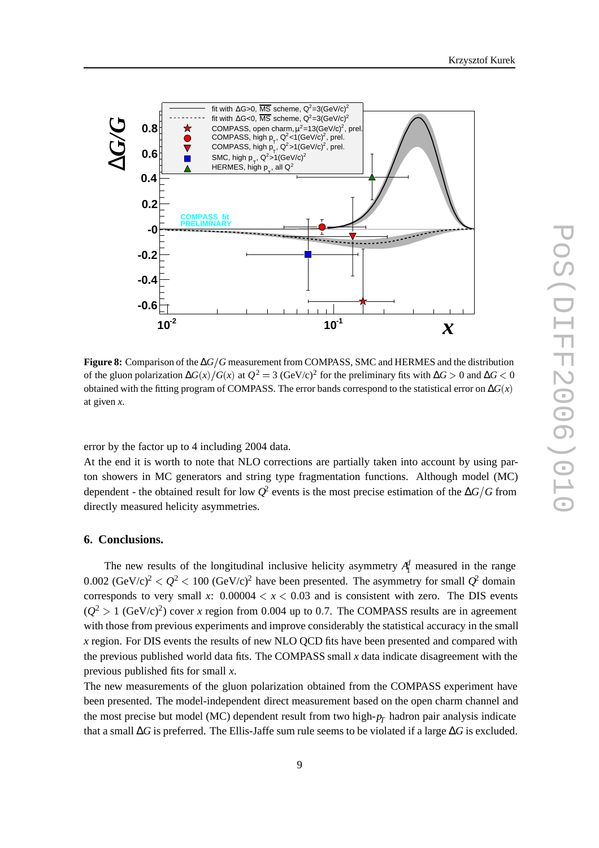



**Figure 8:** Comparison of the ∆*G*-*G* measurement from COMPASS, SMC and HERMES and the distribution of the gluon polarization  $\Delta G(x)/G(x)$  at  $Q^2 = 3$  (GeV/c)<sup>2</sup> for the preliminary fits with  $\Delta G > 0$  and  $\Delta G < 0$ obtained with the fitting program of COMPASS. The error bands correspond to the statistical error on  $\Delta G(x)$ at given *x*.

error by the factor up to 4 including 2004 data.

At the end it is worth to note that NLO corrections are partially taken into account by using parton showers in MC generators and string type fragmentation functions. Although model (MC) dependent - the obtained result for low  $Q^2$  events is the most precise estimation of the  $\Delta G/G$  from directly measured helicity asymmetries.

### **6. Conclusions.**

The new results of the longitudinal inclusive helicity asymmetry  $A_1^d$  measured in the range 0.002 (GeV/c)<sup>2</sup>  $Q^2$  < 100 (GeV/c)<sup>2</sup> have been presented. The asymmetry for small  $Q^2$  domain corresponds to very small *x*:  $0.00004 < x < 0.03$  and is consistent with zero. The DIS events  $(Q^2 > 1 \text{ (GeV/c)}^2)$  cover *x* region from 0.004 up to 0.7. The COMPASS results are in agreement with those from previous experiments and improve considerably the statistical accuracy in the small *x* region. For DIS events the results of new NLO QCD fits have been presented and compared with the previous published world data fits. The COMPASS small *x* data indicate disagreement with the previous published fits for small *x*.

The new measurements of the gluon polarization obtained from the COMPASS experiment have been presented. The model-independent direct measurement based on the open charm channel and the most precise but model (MC) dependent result from two high- $p_T$  hadron pair analysis indicate that a small ∆*G* is preferred. The Ellis-Jaffe sum rule seems to be violated if a large ∆*G* is excluded.